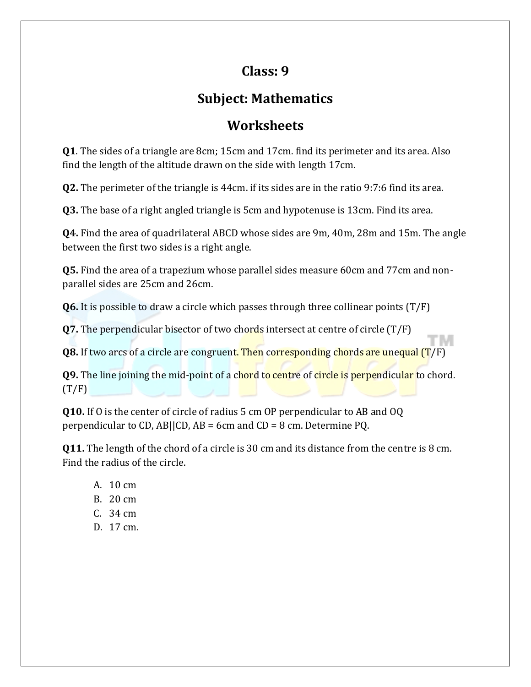## **Class: 9**

## **Subject: Mathematics**

## **Worksheets**

**Q1**. The sides of a triangle are 8cm; 15cm and 17cm. find its perimeter and its area. Also find the length of the altitude drawn on the side with length 17cm.

**Q2.** The perimeter of the triangle is 44cm. if its sides are in the ratio 9:7:6 find its area.

**Q3.** The base of a right angled triangle is 5cm and hypotenuse is 13cm. Find its area.

**Q4.** Find the area of quadrilateral ABCD whose sides are 9m, 40m, 28m and 15m. The angle between the first two sides is a right angle.

**Q5.** Find the area of a trapezium whose parallel sides measure 60cm and 77cm and nonparallel sides are 25cm and 26cm.

**Q6.** It is possible to draw a circle which passes through three collinear points (T/F)

**Q7.** The perpendicular bisector of two chords intersect at centre of circle (T/F)

**Q8.** If two arcs of a circle are congruent. Then corresponding chords are unequal (T/F)

**Q9.** The line joining the mid-point of a chord to centre of circle is perpendicular to chord.  $(T/F)$ 

**Q10.** If O is the center of circle of radius 5 cm OP perpendicular to AB and OQ perpendicular to CD, AB||CD, AB = 6cm and CD = 8 cm. Determine PO.

**Q11.** The length of the chord of a circle is 30 cm and its distance from the centre is 8 cm. Find the radius of the circle.

- A. 10 cm
- B. 20 cm
- C. 34 cm
- D. 17 cm.